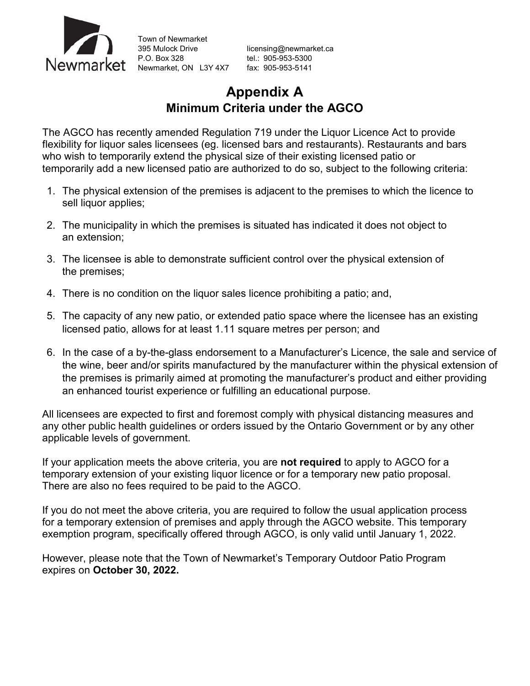

Town of Newmarket 395 Mulock Drive [licensing@newmarket.ca](mailto:licensing@newmarket.ca)<br>P.O. Box 328 el.: 905-953-5300 P.O. Box 328 tel.: 905-953-5300 Newmarket, ON L3Y 4X7 fax: 905-953-5141

# **Appendix A Minimum Criteria under the AGCO**

The AGCO has recently amended Regulation 719 under the Liquor Licence Act to provide flexibility for liquor sales licensees (eg. licensed bars and restaurants). Restaurants and bars who wish to temporarily extend the physical size of their existing licensed patio or temporarily add a new licensed patio are authorized to do so, subject to the following criteria:

- 1. The physical extension of the premises is adjacent to the premises to which the licence to sell liquor applies;
- 2. The municipality in which the premises is situated has indicated it does not object to an extension;
- 3. The licensee is able to demonstrate sufficient control over the physical extension of the premises;
- 4. There is no condition on the liquor sales licence prohibiting a patio; and,
- 5. The capacity of any new patio, or extended patio space where the licensee has an existing licensed patio, allows for at least 1.11 square metres per person; and
- 6. In the case of a by-the-glass endorsement to a Manufacturer's Licence, the sale and service of the wine, beer and/or spirits manufactured by the manufacturer within the physical extension of the premises is primarily aimed at promoting the manufacturer's product and either providing an enhanced tourist experience or fulfilling an educational purpose.

All licensees are expected to first and foremost comply with physical distancing measures and any other public health guidelines or orders issued by the Ontario Government or by any other applicable levels of government.

If your application meets the above criteria, you are **not required** to apply to AGCO for a temporary extension of your existing liquor licence or for a temporary new patio proposal. There are also no fees required to be paid to the AGCO.

If you do not meet the above criteria, you are required to follow the usual application process for a temporary extension of premises and apply through the AGCO website. This temporary exemption program, specifically offered through AGCO, is only valid until January 1, 2022.

However, please note that the Town of Newmarket's Temporary Outdoor Patio Program expires on **October 30, 2022.**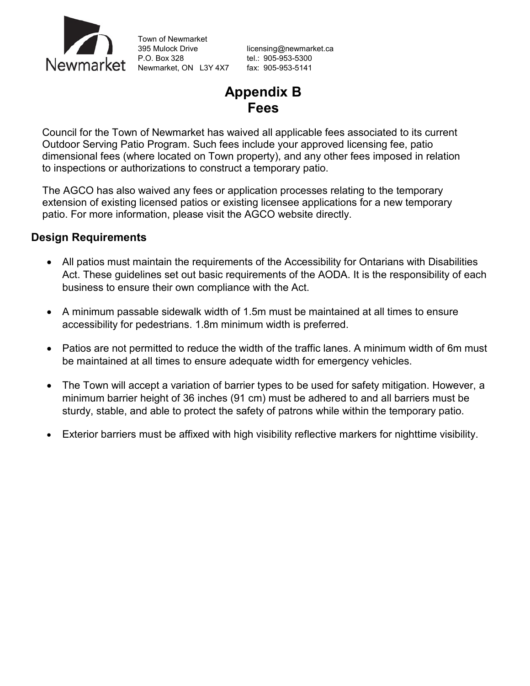

Town of Newmarket 395 Mulock Drive [licensing@newmarket.ca](mailto:licensing@newmarket.ca)<br>
P.O. Box 328 el.: 905-953-5300 P.O. Box 328 tel.: 905-953-5300 Newmarket, ON L3Y 4X7 fax: 905-953-5141

## **Appendix B Fees**

Council for the Town of Newmarket has waived all applicable fees associated to its current Outdoor Serving Patio Program. Such fees include your approved licensing fee, patio dimensional fees (where located on Town property), and any other fees imposed in relation to inspections or authorizations to construct a temporary patio.

The AGCO has also waived any fees or application processes relating to the temporary extension of existing licensed patios or existing licensee applications for a new temporary patio. For more information, please visit the AGCO website directly.

#### **Design Requirements**

- All patios must maintain the requirements of the Accessibility for Ontarians with Disabilities Act. These guidelines set out basic requirements of the AODA. It is the responsibility of each business to ensure their own compliance with the Act.
- A minimum passable sidewalk width of 1.5m must be maintained at all times to ensure accessibility for pedestrians. 1.8m minimum width is preferred.
- Patios are not permitted to reduce the width of the traffic lanes. A minimum width of 6m must be maintained at all times to ensure adequate width for emergency vehicles.
- The Town will accept a variation of barrier types to be used for safety mitigation. However, a minimum barrier height of 36 inches (91 cm) must be adhered to and all barriers must be sturdy, stable, and able to protect the safety of patrons while within the temporary patio.
- Exterior barriers must be affixed with high visibility reflective markers for nighttime visibility.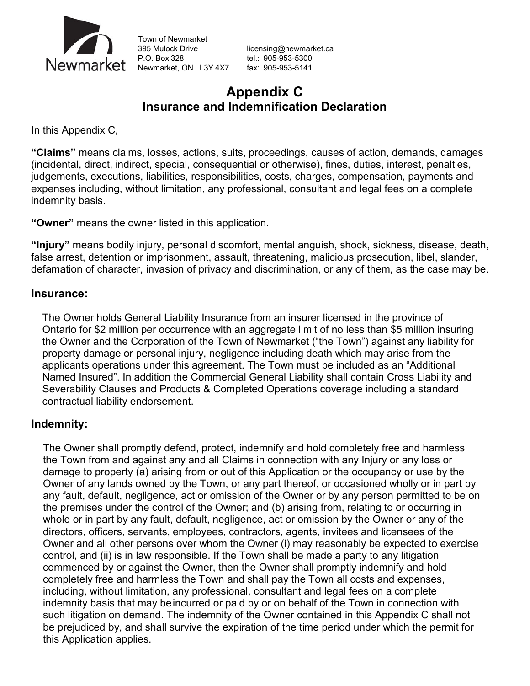

Town of Newmarket 395 Mulock Drive [licensing@newmarket.ca](mailto:licensing@newmarket.ca)<br>
P.O. Box 328 el.: 905-953-5300 Newmarket, ON L3Y 4X7 fax: 905-953-5141

tel.: 905-953-5300

### **Appendix C Insurance and Indemnification Declaration**

In this Appendix C,

**"Claims"** means claims, losses, actions, suits, proceedings, causes of action, demands, damages (incidental, direct, indirect, special, consequential or otherwise), fines, duties, interest, penalties, judgements, executions, liabilities, responsibilities, costs, charges, compensation, payments and expenses including, without limitation, any professional, consultant and legal fees on a complete indemnity basis.

**"Owner"** means the owner listed in this application.

**"Injury"** means bodily injury, personal discomfort, mental anguish, shock, sickness, disease, death, false arrest, detention or imprisonment, assault, threatening, malicious prosecution, libel, slander, defamation of character, invasion of privacy and discrimination, or any of them, as the case may be.

#### **Insurance:**

The Owner holds General Liability Insurance from an insurer licensed in the province of Ontario for \$2 million per occurrence with an aggregate limit of no less than \$5 million insuring the Owner and the Corporation of the Town of Newmarket ("the Town") against any liability for property damage or personal injury, negligence including death which may arise from the applicants operations under this agreement. The Town must be included as an "Additional Named Insured". In addition the Commercial General Liability shall contain Cross Liability and Severability Clauses and Products & Completed Operations coverage including a standard contractual liability endorsement.

#### **Indemnity:**

The Owner shall promptly defend, protect, indemnify and hold completely free and harmless the Town from and against any and all Claims in connection with any Injury or any loss or damage to property (a) arising from or out of this Application or the occupancy or use by the Owner of any lands owned by the Town, or any part thereof, or occasioned wholly or in part by any fault, default, negligence, act or omission of the Owner or by any person permitted to be on the premises under the control of the Owner; and (b) arising from, relating to or occurring in whole or in part by any fault, default, negligence, act or omission by the Owner or any of the directors, officers, servants, employees, contractors, agents, invitees and licensees of the Owner and all other persons over whom the Owner (i) may reasonably be expected to exercise control, and (ii) is in law responsible. If the Town shall be made a party to any litigation commenced by or against the Owner, then the Owner shall promptly indemnify and hold completely free and harmless the Town and shall pay the Town all costs and expenses, including, without limitation, any professional, consultant and legal fees on a complete indemnity basis that may beincurred or paid by or on behalf of the Town in connection with such litigation on demand. The indemnity of the Owner contained in this Appendix C shall not be prejudiced by, and shall survive the expiration of the time period under which the permit for this Application applies.